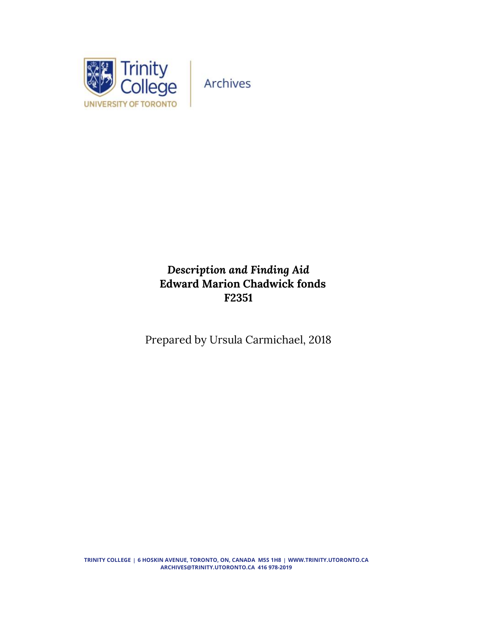

# *Description and Finding Aid* **Edward Marion Chadwick fonds F2351**

Prepared by Ursula Carmichael, 2018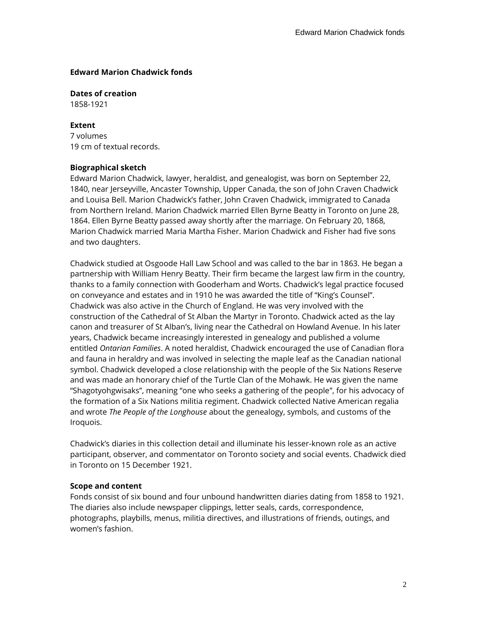#### **Edward Marion Chadwick fonds**

**Dates of creation** 1858-1921

#### **Extent**

7 volumes 19 cm of textual records.

#### **Biographical sketch**

Edward Marion Chadwick, lawyer, heraldist, and genealogist, was born on September 22, 1840, near Jerseyville, Ancaster Township, Upper Canada, the son of John Craven Chadwick and Louisa Bell. Marion Chadwick's father, John Craven Chadwick, immigrated to Canada from Northern Ireland. Marion Chadwick married Ellen Byrne Beatty in Toronto on June 28, 1864. Ellen Byrne Beatty passed away shortly after the marriage. On February 20, 1868, Marion Chadwick married Maria Martha Fisher. Marion Chadwick and Fisher had five sons and two daughters.

Chadwick studied at Osgoode Hall Law School and was called to the bar in 1863. He began a partnership with William Henry Beatty. Their firm became the largest law firm in the country, thanks to a family connection with Gooderham and Worts. Chadwick's legal practice focused on conveyance and estates and in 1910 he was awarded the title of "King's Counsel". Chadwick was also active in the Church of England. He was very involved with the construction of the Cathedral of St Alban the Martyr in Toronto. Chadwick acted as the lay canon and treasurer of St Alban's, living near the Cathedral on Howland Avenue. In his later years, Chadwick became increasingly interested in genealogy and published a volume entitled *Ontarian Families*. A noted heraldist, Chadwick encouraged the use of Canadian flora and fauna in heraldry and was involved in selecting the maple leaf as the Canadian national symbol. Chadwick developed a close relationship with the people of the Six Nations Reserve and was made an honorary chief of the Turtle Clan of the Mohawk. He was given the name "Shagotyohgwisaks", meaning "one who seeks a gathering of the people", for his advocacy of the formation of a Six Nations militia regiment. Chadwick collected Native American regalia and wrote *The People of the Longhouse* about the genealogy, symbols, and customs of the Iroquois.

Chadwick's diaries in this collection detail and illuminate his lesser-known role as an active participant, observer, and commentator on Toronto society and social events. Chadwick died in Toronto on 15 December 1921.

#### **Scope and content**

Fonds consist of six bound and four unbound handwritten diaries dating from 1858 to 1921. The diaries also include newspaper clippings, letter seals, cards, correspondence, photographs, playbills, menus, militia directives, and illustrations of friends, outings, and women's fashion.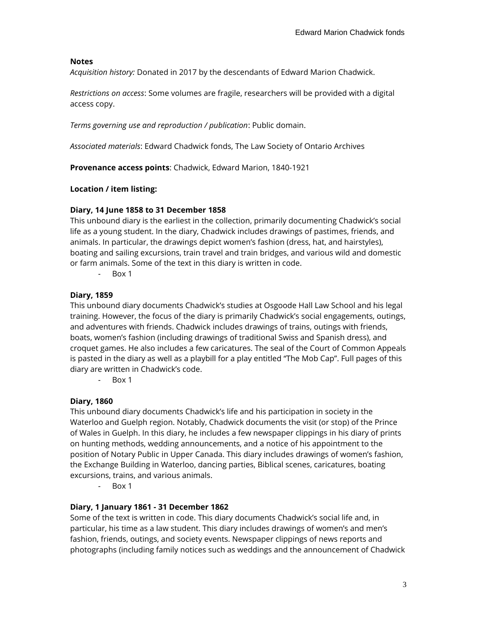# **Notes**

*Acquisition history:* Donated in 2017 by the descendants of Edward Marion Chadwick.

*Restrictions on access*: Some volumes are fragile, researchers will be provided with a digital access copy.

*Terms governing use and reproduction / publication*: Public domain.

*Associated materials*: Edward Chadwick fonds, The Law Society of Ontario Archives

**Provenance access points**: Chadwick, Edward Marion, 1840-1921

**Location / item listing:**

### **Diary, 14 June 1858 to 31 December 1858**

This unbound diary is the earliest in the collection, primarily documenting Chadwick's social life as a young student. In the diary, Chadwick includes drawings of pastimes, friends, and animals. In particular, the drawings depict women's fashion (dress, hat, and hairstyles), boating and sailing excursions, train travel and train bridges, and various wild and domestic or farm animals. Some of the text in this diary is written in code.

- Box 1

### **Diary, 1859**

This unbound diary documents Chadwick's studies at Osgoode Hall Law School and his legal training. However, the focus of the diary is primarily Chadwick's social engagements, outings, and adventures with friends. Chadwick includes drawings of trains, outings with friends, boats, women's fashion (including drawings of traditional Swiss and Spanish dress), and croquet games. He also includes a few caricatures. The seal of the Court of Common Appeals is pasted in the diary as well as a playbill for a play entitled "The Mob Cap". Full pages of this diary are written in Chadwick's code.

- Box 1

# **Diary, 1860**

This unbound diary documents Chadwick's life and his participation in society in the Waterloo and Guelph region. Notably, Chadwick documents the visit (or stop) of the Prince of Wales in Guelph. In this diary, he includes a few newspaper clippings in his diary of prints on hunting methods, wedding announcements, and a notice of his appointment to the position of Notary Public in Upper Canada. This diary includes drawings of women's fashion, the Exchange Building in Waterloo, dancing parties, Biblical scenes, caricatures, boating excursions, trains, and various animals.

- Box 1

# **Diary, 1 January 1861 - 31 December 1862**

Some of the text is written in code. This diary documents Chadwick's social life and, in particular, his time as a law student. This diary includes drawings of women's and men's fashion, friends, outings, and society events. Newspaper clippings of news reports and photographs (including family notices such as weddings and the announcement of Chadwick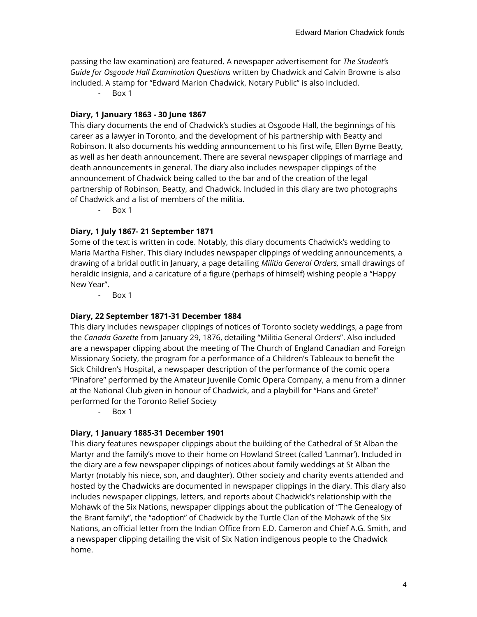passing the law examination) are featured. A newspaper advertisement for *The Student's Guide for Osgoode Hall Examination Questions* written by Chadwick and Calvin Browne is also included. A stamp for "Edward Marion Chadwick, Notary Public" is also included.

- Box 1

## **Diary, 1 January 1863 - 30 June 1867**

This diary documents the end of Chadwick's studies at Osgoode Hall, the beginnings of his career as a lawyer in Toronto, and the development of his partnership with Beatty and Robinson. It also documents his wedding announcement to his first wife, Ellen Byrne Beatty, as well as her death announcement. There are several newspaper clippings of marriage and death announcements in general. The diary also includes newspaper clippings of the announcement of Chadwick being called to the bar and of the creation of the legal partnership of Robinson, Beatty, and Chadwick. Included in this diary are two photographs of Chadwick and a list of members of the militia.

- Box 1

# **Diary, 1 July 1867- 21 September 1871**

Some of the text is written in code. Notably, this diary documents Chadwick's wedding to Maria Martha Fisher. This diary includes newspaper clippings of wedding announcements, a drawing of a bridal outfit in January, a page detailing *Militia General Orders,* small drawings of heraldic insignia, and a caricature of a figure (perhaps of himself) wishing people a "Happy New Year".

- Box 1

#### **Diary, 22 September 1871-31 December 1884**

This diary includes newspaper clippings of notices of Toronto society weddings, a page from the *Canada Gazette* from January 29, 1876, detailing "Militia General Orders". Also included are a newspaper clipping about the meeting of The Church of England Canadian and Foreign Missionary Society, the program for a performance of a Children's Tableaux to benefit the Sick Children's Hospital, a newspaper description of the performance of the comic opera "Pinafore" performed by the Amateur Juvenile Comic Opera Company, a menu from a dinner at the National Club given in honour of Chadwick, and a playbill for "Hans and Gretel" performed for the Toronto Relief Society

- Box 1

# **Diary, 1 January 1885-31 December 1901**

This diary features newspaper clippings about the building of the Cathedral of St Alban the Martyr and the family's move to their home on Howland Street (called 'Lanmar'). Included in the diary are a few newspaper clippings of notices about family weddings at St Alban the Martyr (notably his niece, son, and daughter). Other society and charity events attended and hosted by the Chadwicks are documented in newspaper clippings in the diary. This diary also includes newspaper clippings, letters, and reports about Chadwick's relationship with the Mohawk of the Six Nations, newspaper clippings about the publication of "The Genealogy of the Brant family", the "adoption" of Chadwick by the Turtle Clan of the Mohawk of the Six Nations, an official letter from the Indian Office from E.D. Cameron and Chief A.G. Smith, and a newspaper clipping detailing the visit of Six Nation indigenous people to the Chadwick home.